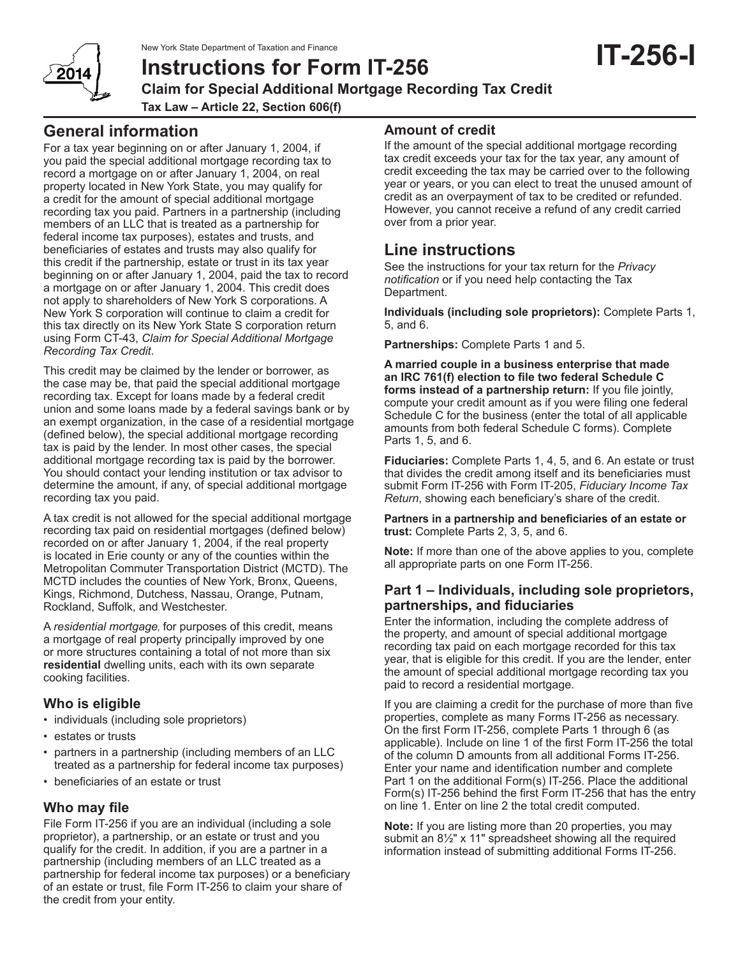New York State Department of Taxation and Finance



**Instructions for Form IT-256 Claim for Special Additional Mortgage Recording Tax Credit Tax Law – Article 22, Section 606(f)**

# **General information**

For a tax year beginning on or after January 1, 2004, if you paid the special additional mortgage recording tax to record a mortgage on or after January 1, 2004, on real property located in New York State, you may qualify for a credit for the amount of special additional mortgage recording tax you paid. Partners in a partnership (including members of an LLC that is treated as a partnership for federal income tax purposes), estates and trusts, and beneficiaries of estates and trusts may also qualify for this credit if the partnership, estate or trust in its tax year beginning on or after January 1, 2004, paid the tax to record a mortgage on or after January 1, 2004. This credit does not apply to shareholders of New York S corporations. A New York S corporation will continue to claim a credit for this tax directly on its New York State S corporation return using Form CT-43, *Claim for Special Additional Mortgage Recording Tax Credit*.

This credit may be claimed by the lender or borrower, as the case may be, that paid the special additional mortgage recording tax. Except for loans made by a federal credit union and some loans made by a federal savings bank or by an exempt organization, in the case of a residential mortgage (defined below), the special additional mortgage recording tax is paid by the lender. In most other cases, the special additional mortgage recording tax is paid by the borrower. You should contact your lending institution or tax advisor to determine the amount, if any, of special additional mortgage recording tax you paid.

A tax credit is not allowed for the special additional mortgage recording tax paid on residential mortgages (defined below) recorded on or after January 1, 2004, if the real property is located in Erie county or any of the counties within the Metropolitan Commuter Transportation District (MCTD). The MCTD includes the counties of New York, Bronx, Queens, Kings, Richmond, Dutchess, Nassau, Orange, Putnam, Rockland, Suffolk, and Westchester.

A *residential mortgage,* for purposes of this credit, means a mortgage of real property principally improved by one or more structures containing a total of not more than six **residential** dwelling units, each with its own separate cooking facilities.

## **Who is eligible**

- individuals (including sole proprietors)
- estates or trusts
- partners in a partnership (including members of an LLC treated as a partnership for federal income tax purposes)
- beneficiaries of an estate or trust

## **Who may file**

File Form IT-256 if you are an individual (including a sole proprietor), a partnership, or an estate or trust and you qualify for the credit. In addition, if you are a partner in a partnership (including members of an LLC treated as a partnership for federal income tax purposes) or a beneficiary of an estate or trust, file Form IT-256 to claim your share of the credit from your entity.

## **Amount of credit**

If the amount of the special additional mortgage recording tax credit exceeds your tax for the tax year, any amount of credit exceeding the tax may be carried over to the following year or years, or you can elect to treat the unused amount of credit as an overpayment of tax to be credited or refunded. However, you cannot receive a refund of any credit carried over from a prior year.

# **Line instructions**

See the instructions for your tax return for the *Privacy notification* or if you need help contacting the Tax Department.

**Individuals (including sole proprietors):** Complete Parts 1, 5, and 6.

**Partnerships:** Complete Parts 1 and 5.

**A married couple in a business enterprise that made an IRC 761(f) election to file two federal Schedule C forms instead of a partnership return:** If you file jointly, compute your credit amount as if you were filing one federal Schedule C for the business (enter the total of all applicable amounts from both federal Schedule C forms). Complete Parts 1, 5, and 6.

**Fiduciaries:** Complete Parts 1, 4, 5, and 6. An estate or trust that divides the credit among itself and its beneficiaries must submit Form IT-256 with Form IT-205, *Fiduciary Income Tax Return*, showing each beneficiary's share of the credit.

**Partners in a partnership and beneficiaries of an estate or trust:** Complete Parts 2, 3, 5, and 6.

**Note:** If more than one of the above applies to you, complete all appropriate parts on one Form IT-256.

### **Part 1 – Individuals, including sole proprietors, partnerships, and fiduciaries**

Enter the information, including the complete address of the property, and amount of special additional mortgage recording tax paid on each mortgage recorded for this tax year, that is eligible for this credit. If you are the lender, enter the amount of special additional mortgage recording tax you paid to record a residential mortgage.

If you are claiming a credit for the purchase of more than five properties, complete as many Forms IT-256 as necessary. On the first Form IT-256, complete Parts 1 through 6 (as applicable). Include on line 1 of the first Form IT-256 the total of the column D amounts from all additional Forms IT-256. Enter your name and identification number and complete Part 1 on the additional Form(s) IT-256. Place the additional Form(s) IT-256 behind the first Form IT-256 that has the entry on line 1. Enter on line 2 the total credit computed.

**Note:** If you are listing more than 20 properties, you may submit an 8½" x 11" spreadsheet showing all the required information instead of submitting additional Forms IT-256.